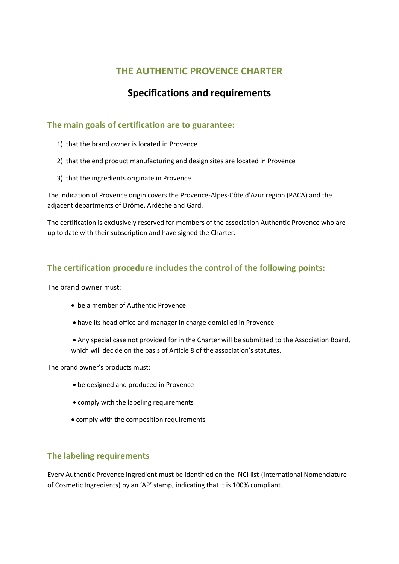## **THE AUTHENTIC PROVENCE CHARTER**

# **Specifications and requirements**

### **The main goals of certification are to guarantee:**

- 1) that the brand owner is located in Provence
- 2) that the end product manufacturing and design sites are located in Provence
- 3) that the ingredients originate in Provence

The indication of Provence origin covers the Provence-Alpes-Côte d'Azur region (PACA) and the adjacent departments of Drôme, Ardèche and Gard.

The certification is exclusively reserved for members of the association Authentic Provence who are up to date with their subscription and have signed the Charter.

## **The certification procedure includes the control of the following points:**

The brand owner must:

- be a member of Authentic Provence
- have its head office and manager in charge domiciled in Provence

 Any special case not provided for in the Charter will be submitted to the Association Board, which will decide on the basis of Article 8 of the association's statutes.

The brand owner's products must:

- be designed and produced in Provence
- comply with the labeling requirements
- comply with the composition requirements

#### **The labeling requirements**

Every Authentic Provence ingredient must be identified on the INCI list (International Nomenclature of Cosmetic Ingredients) by an 'AP' stamp, indicating that it is 100% compliant.